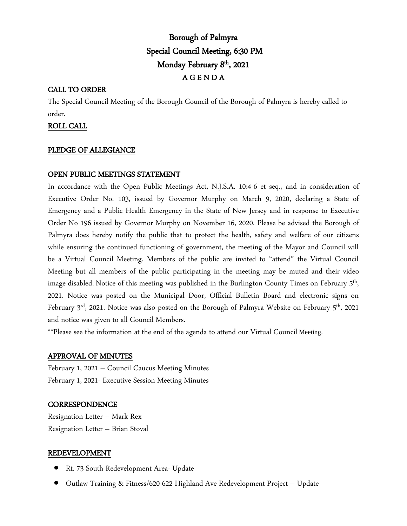# Borough of Palmyra Special Council Meeting, 6:30 PM Monday February 8<sup>th</sup>, 2021 A G E N D A

#### CALL TO ORDER

The Special Council Meeting of the Borough Council of the Borough of Palmyra is hereby called to order.

#### ROLL CALL

#### PLEDGE OF ALLEGIANCE

#### OPEN PUBLIC MEETINGS STATEMENT

In accordance with the Open Public Meetings Act, N.J.S.A. 10:4-6 et seq., and in consideration of Executive Order No. 103, issued by Governor Murphy on March 9, 2020, declaring a State of Emergency and a Public Health Emergency in the State of New Jersey and in response to Executive Order No 196 issued by Governor Murphy on November 16, 2020. Please be advised the Borough of Palmyra does hereby notify the public that to protect the health, safety and welfare of our citizens while ensuring the continued functioning of government, the meeting of the Mayor and Council will be a Virtual Council Meeting. Members of the public are invited to "attend" the Virtual Council Meeting but all members of the public participating in the meeting may be muted and their video image disabled. Notice of this meeting was published in the Burlington County Times on February 5<sup>th</sup>, 2021. Notice was posted on the Municipal Door, Official Bulletin Board and electronic signs on February  $3<sup>rd</sup>$ , 2021. Notice was also posted on the Borough of Palmyra Website on February  $5<sup>th</sup>$ , 2021 and notice was given to all Council Members.

\*\*Please see the information at the end of the agenda to attend our Virtual Council Meeting.

#### APPROVAL OF MINUTES

February 1, 2021 – Council Caucus Meeting Minutes February 1, 2021- Executive Session Meeting Minutes

#### **CORRESPONDENCE**

Resignation Letter – Mark Rex Resignation Letter – Brian Stoval

#### REDEVELOPMENT

- Rt. 73 South Redevelopment Area- Update
- Outlaw Training & Fitness/620-622 Highland Ave Redevelopment Project Update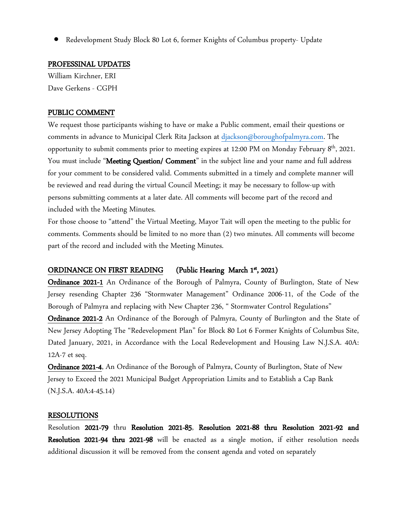• Redevelopment Study Block 80 Lot 6, former Knights of Columbus property- Update

#### PROFESSINAL UPDATES

William Kirchner, ERI Dave Gerkens - CGPH

#### PUBLIC COMMENT

We request those participants wishing to have or make a Public comment, email their questions or comments in advance to Municipal Clerk Rita Jackson at [djackson@boroughofpalmyra.com.](../AppData/Local/Microsoft/Windows/INetCache/djackson/AppData/Local/Microsoft/Windows/INetCache/Content.Outlook/AppData/Local/Packages/microsoft.windowscommunicationsapps_8wekyb3d8bbwe/LocalState/Files/S0/10/Attachments/djackson@boroughofpalmyra.com) The opportunity to submit comments prior to meeting expires at 12:00 PM on Monday February  $8^{\rm th}$ , 2021. You must include "**Meeting Question/ Comment**" in the subject line and your name and full address for your comment to be considered valid. Comments submitted in a timely and complete manner will be reviewed and read during the virtual Council Meeting; it may be necessary to follow-up with persons submitting comments at a later date. All comments will become part of the record and included with the Meeting Minutes.

For those choose to "attend" the Virtual Meeting, Mayor Tait will open the meeting to the public for comments. Comments should be limited to no more than (2) two minutes. All comments will become part of the record and included with the Meeting Minutes.

#### ORDINANCE ON FIRST READING (Public Hearing March 1st, 2021)

Ordinance 2021-1 An Ordinance of the Borough of Palmyra, County of Burlington, State of New Jersey resending Chapter 236 "Stormwater Management" Ordinance 2006-11, of the Code of the Borough of Palmyra and replacing with New Chapter 236, " Stormwater Control Regulations"

Ordinance 2021-2 An Ordinance of the Borough of Palmyra, County of Burlington and the State of New Jersey Adopting The "Redevelopment Plan" for Block 80 Lot 6 Former Knights of Columbus Site, Dated January, 2021, in Accordance with the Local Redevelopment and Housing Law N.J.S.A. 40A: 12A-7 et seq.

Ordinance 2021-4, An Ordinance of the Borough of Palmyra, County of Burlington, State of New Jersey to Exceed the 2021 Municipal Budget Appropriation Limits and to Establish a Cap Bank (N.J.S.A. 40A:4-45.14)

#### RESOLUTIONS

Resolution 2021-79 thru Resolution 2021-85, Resolution 2021-88 thru Resolution 2021-92 and Resolution 2021-94 thru 2021-98 will be enacted as a single motion, if either resolution needs additional discussion it will be removed from the consent agenda and voted on separately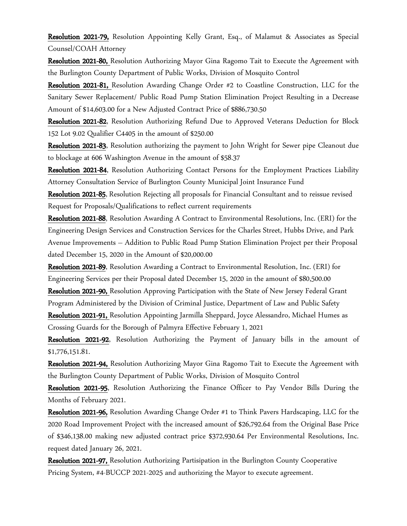Resolution 2021-79, Resolution Appointing Kelly Grant, Esq., of Malamut & Associates as Special Counsel/COAH Attorney

Resolution 2021-80, Resolution Authorizing Mayor Gina Ragomo Tait to Execute the Agreement with the Burlington County Department of Public Works, Division of Mosquito Control

Resolution 2021-81, Resolution Awarding Change Order #2 to Coastline Construction, LLC for the Sanitary Sewer Replacement/ Public Road Pump Station Elimination Project Resulting in a Decrease Amount of \$14,603.00 for a New Adjusted Contract Price of \$886,730.50

Resolution 2021-82, Resolution Authorizing Refund Due to Approved Veterans Deduction for Block 152 Lot 9.02 Qualifier C4405 in the amount of \$250.00

Resolution 2021-83, Resolution authorizing the payment to John Wright for Sewer pipe Cleanout due to blockage at 606 Washington Avenue in the amount of \$58.37

Resolution 2021-84, Resolution Authorizing Contact Persons for the Employment Practices Liability Attorney Consultation Service of Burlington County Municipal Joint Insurance Fund

Resolution 2021-85, Resolution Rejecting all proposals for Financial Consultant and to reissue revised Request for Proposals/Qualifications to reflect current requirements

Resolution 2021-88, Resolution Awarding A Contract to Environmental Resolutions, Inc. (ERI) for the Engineering Design Services and Construction Services for the Charles Street, Hubbs Drive, and Park Avenue Improvements – Addition to Public Road Pump Station Elimination Project per their Proposal dated December 15, 2020 in the Amount of \$20,000.00

Resolution 2021-89, Resolution Awarding a Contract to Environmental Resolution, Inc. (ERI) for Engineering Services per their Proposal dated December 15, 2020 in the amount of \$80,500.00

Resolution 2021-90, Resolution Approving Participation with the State of New Jersey Federal Grant Program Administered by the Division of Criminal Justice, Department of Law and Public Safety

Resolution 2021-91, Resolution Appointing Jarmilla Sheppard, Joyce Alessandro, Michael Humes as Crossing Guards for the Borough of Palmyra Effective February 1, 2021

Resolution 2021-92, Resolution Authorizing the Payment of January bills in the amount of \$1,776,151.81.

Resolution 2021-94, Resolution Authorizing Mayor Gina Ragomo Tait to Execute the Agreement with the Burlington County Department of Public Works, Division of Mosquito Control

Resolution 2021-95, Resolution Authorizing the Finance Officer to Pay Vendor Bills During the Months of February 2021.

Resolution 2021-96, Resolution Awarding Change Order #1 to Think Pavers Hardscaping, LLC for the 2020 Road Improvement Project with the increased amount of \$26,792.64 from the Original Base Price of \$346,138.00 making new adjusted contract price \$372,930.64 Per Environmental Resolutions, Inc. request dated January 26, 2021.

Resolution 2021-97, Resolution Authorizing Partisipation in the Burlington County Cooperative Pricing System, #4-BUCCP 2021-2025 and authorizing the Mayor to execute agreement.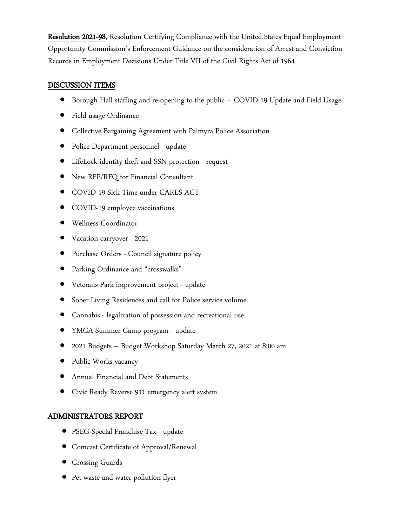Resolution 2021-98, Resolution Certifying Compliance with the United States Equal Employment Opportunity Commission's Enforcement Guidance on the consideration of Arrest and Conviction Records in Employment Decisions Under Title VII of the Civil Rights Act of 1964

#### DISCUSSION ITEMS

- Borough Hall staffing and re-opening to the public COVID-19 Update and Field Usage
- Field usage Ordinance
- Collective Bargaining Agreement with Palmyra Police Association
- Police Department personnel update
- LifeLock identity theft and SSN protection request
- New RFP/RFQ for Financial Consultant
- COVID-19 Sick Time under CARES ACT
- COVID-19 employee vaccinations
- Wellness Coordinator
- Vacation carryover 2021
- Purchase Orders Council signature policy
- Parking Ordinance and "crosswalks"
- Veterans Park improvement project update
- Sober Living Residences and call for Police service volume
- Cannabis legalization of possession and recreational use
- YMCA Summer Camp program update
- 2021 Budgets Budget Workshop Saturday March 27, 2021 at 8:00 am
- Public Works vacancy
- Annual Financial and Debt Statements
- Civic Ready Reverse 911 emergency alert system

## ADMINISTRATORS REPORT

- PSEG Special Franchise Tax update
- Comcast Certificate of Approval/Renewal
- Crossing Guards
- Pet waste and water pollution flyer